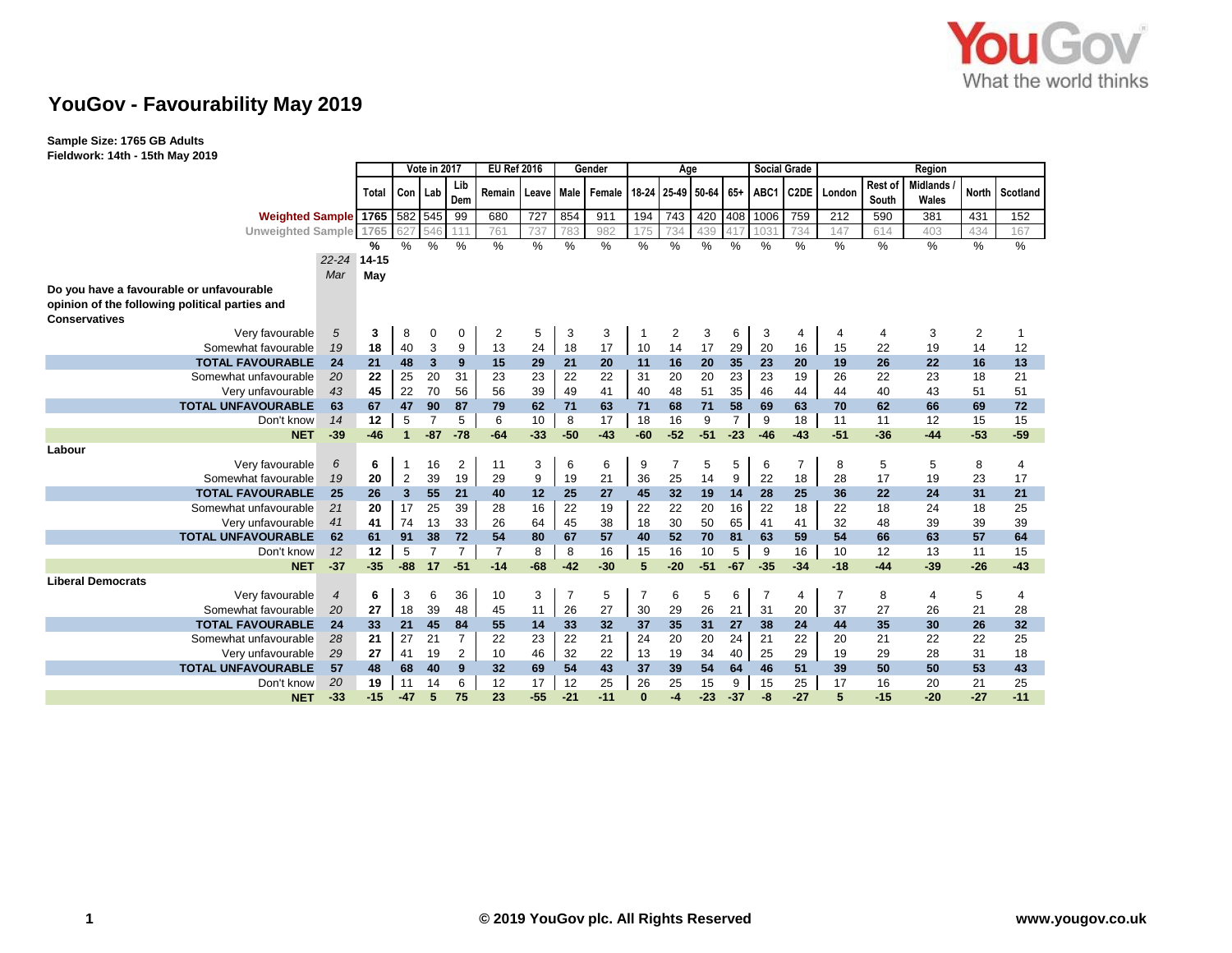

**Sample Size: 1765 GB Adults Fieldwork: 14th - 15th May 2019**

|                                                                        |                |       | Vote in 2017   |                |                | <b>EU Ref 2016</b> |       | Gender         |        | Age            |                |       |                | <b>Social Grade</b> |                   | Region         |                  |                          |                |          |
|------------------------------------------------------------------------|----------------|-------|----------------|----------------|----------------|--------------------|-------|----------------|--------|----------------|----------------|-------|----------------|---------------------|-------------------|----------------|------------------|--------------------------|----------------|----------|
|                                                                        |                | Total | Con Lab        |                | Lib<br>Dem     | Remain             | Leave | Male           | Female |                | 18-24 25-49    | 50-64 | $65+$          | ABC1                | C <sub>2</sub> DE | London         | Rest of<br>South | <b>Midlands</b><br>Wales | <b>North</b>   | Scotland |
| Weighted Sample 1765 582 545                                           |                |       |                |                | 99             | 680                | 727   | 854            | 911    | 194            | 743            | 420   | 408            | 1006                | 759               | 212            | 590              | 381                      | 431            | 152      |
| <b>Unweighted Sample</b>                                               |                | 1765  |                | 546            | 111            | 76'                | 737   | 783            | 982    | 175            | 734            | 439   | 417            | 103'                | 734               | 147            | 614              | 403                      | 434            | 167      |
|                                                                        |                | %     | %              | %              | %              | %                  | %     | %              | %      | %              | %              | %     | $\%$           | %                   | %                 | %              | %                | %                        | %              | %        |
|                                                                        | 22-24 14-15    |       |                |                |                |                    |       |                |        |                |                |       |                |                     |                   |                |                  |                          |                |          |
|                                                                        | Mar            | May   |                |                |                |                    |       |                |        |                |                |       |                |                     |                   |                |                  |                          |                |          |
| Do you have a favourable or unfavourable                               |                |       |                |                |                |                    |       |                |        |                |                |       |                |                     |                   |                |                  |                          |                |          |
| opinion of the following political parties and<br><b>Conservatives</b> |                |       |                |                |                |                    |       |                |        |                |                |       |                |                     |                   |                |                  |                          |                |          |
| Very favourable                                                        | 5              | 3     | 8              | 0              | 0              | $\overline{2}$     | 5     | 3              | 3      | -1             | $\overline{2}$ | 3     | 6              | 3                   | 4                 | 4              | 4                | 3                        | $\overline{2}$ | 1        |
| Somewhat favourable                                                    | 19             | 18    | 40             | 3              | 9              | 13                 | 24    | 18             | 17     | 10             | 14             | 17    | 29             | 20                  | 16                | 15             | 22               | 19                       | 14             | 12       |
| <b>TOTAL FAVOURABLE</b>                                                | 24             | 21    | 48             | 3              | 9              | 15                 | 29    | 21             | 20     | 11             | 16             | 20    | 35             | 23                  | 20                | 19             | 26               | 22                       | 16             | 13       |
| Somewhat unfavourable                                                  | 20             | 22    | 25             | 20             | 31             | 23                 | 23    | 22             | 22     | 31             | 20             | 20    | 23             | 23                  | 19                | 26             | 22               | 23                       | 18             | 21       |
| Very unfavourable                                                      | 43             | 45    | 22             | 70             | 56             | 56                 | 39    | 49             | 41     | 40             | 48             | 51    | 35             | 46                  | 44                | 44             | 40               | 43                       | 51             | 51       |
| <b>TOTAL UNFAVOURABLE</b>                                              | 63             | 67    | 47             | 90             | 87             | 79                 | 62    | 71             | 63     | 71             | 68             | 71    | 58             | 69                  | 63                | 70             | 62               | 66                       | 69             | 72       |
| Don't know                                                             | 14             | 12    | 5              | $\overline{7}$ | 5              | 6                  | 10    | 8              | 17     | 18             | 16             | 9     | $\overline{7}$ | 9                   | 18                | 11             | 11               | 12                       | 15             | 15       |
| <b>NET</b>                                                             | $-39$          | $-46$ | $\mathbf{1}$   | $-87$          | $-78$          | $-64$              | $-33$ | $-50$          | $-43$  | $-60$          | $-52$          | $-51$ | $-23$          | $-46$               | $-43$             | $-51$          | $-36$            | $-44$                    | $-53$          | $-59$    |
| Labour                                                                 |                |       |                |                |                |                    |       |                |        |                |                |       |                |                     |                   |                |                  |                          |                |          |
| Very favourable                                                        | 6              | 6     | -1             | 16             | $\overline{2}$ | 11                 | 3     | 6              | 6      | 9              |                | 5     | 5              | 6                   | $\overline{7}$    | 8              | 5                | 5                        | 8              | 4        |
| Somewhat favourable                                                    | 19             | 20    | $\overline{2}$ | 39             | 19             | 29                 | 9     | 19             | 21     | 36             | 25             | 14    | 9              | 22                  | 18                | 28             | 17               | 19                       | 23             | 17       |
| <b>TOTAL FAVOURABLE</b>                                                | 25             | 26    | 3              | 55             | 21             | 40                 | 12    | 25             | 27     | 45             | 32             | 19    | 14             | 28                  | 25                | 36             | 22               | 24                       | 31             | 21       |
| Somewhat unfavourable                                                  | 21             | 20    | 17             | 25             | 39             | 28                 | 16    | 22             | 19     | 22             | 22             | 20    | 16             | 22                  | 18                | 22             | 18               | 24                       | 18             | 25       |
| Very unfavourable                                                      | 41             | 41    | 74             | 13             | 33             | 26                 | 64    | 45             | 38     | 18             | 30             | 50    | 65             | 41                  | 41                | 32             | 48               | 39                       | 39             | 39       |
| <b>TOTAL UNFAVOURABLE</b>                                              | 62             | 61    | 91             | 38             | 72             | 54                 | 80    | 67             | 57     | 40             | 52             | 70    | 81             | 63                  | 59                | 54             | 66               | 63                       | 57             | 64       |
| Don't know                                                             | 12             | 12    | 5              | $\overline{7}$ | $\overline{7}$ | $\overline{7}$     | 8     | 8              | 16     | 15             | 16             | 10    | 5              | 9                   | 16                | 10             | 12               | 13                       | 11             | 15       |
| <b>NET</b>                                                             | $-37$          | $-35$ | $-88$          | 17             | $-51$          | $-14$              | $-68$ | $-42$          | $-30$  | 5              | $-20$          | $-51$ | $-67$          | $-35$               | $-34$             | $-18$          | $-44$            | $-39$                    | $-26$          | $-43$    |
| <b>Liberal Democrats</b>                                               |                |       |                |                |                |                    |       |                |        |                |                |       |                |                     |                   |                |                  |                          |                |          |
| Very favourable                                                        | $\overline{4}$ | 6     | 3              | 6              | 36             | 10                 | 3     | $\overline{7}$ | 5      | $\overline{7}$ | 6              | 5     | 6              | $\overline{7}$      | $\overline{4}$    | $\overline{7}$ | 8                | 4                        | 5              | 4        |
| Somewhat favourable                                                    | 20             | 27    | 18             | 39             | 48             | 45                 | 11    | 26             | 27     | 30             | 29             | 26    | 21             | 31                  | 20                | 37             | 27               | 26                       | 21             | 28       |
| <b>TOTAL FAVOURABLE</b>                                                | 24             | 33    | 21             | 45             | 84             | 55                 | 14    | 33             | 32     | 37             | 35             | 31    | 27             | 38                  | 24                | 44             | 35               | 30                       | 26             | 32       |
| Somewhat unfavourable                                                  | 28             | 21    | 27             | 21             | $\overline{7}$ | 22                 | 23    | 22             | 21     | 24             | 20             | 20    | 24             | 21                  | 22                | 20             | 21               | 22                       | 22             | 25       |
| Very unfavourable                                                      | 29             | 27    | 41             | 19             | 2              | 10                 | 46    | 32             | 22     | 13             | 19             | 34    | 40             | 25                  | 29                | 19             | 29               | 28                       | 31             | 18       |
| <b>TOTAL UNFAVOURABLE</b>                                              | 57             | 48    | 68             | 40             | 9              | 32                 | 69    | 54             | 43     | 37             | 39             | 54    | 64             | 46                  | 51                | 39             | 50               | 50                       | 53             | 43       |
| Don't know                                                             | 20             | 19    | 11             | 14             | 6              | 12                 | 17    | 12             | 25     | 26             | 25             | 15    | 9              | 15                  | 25                | 17             | 16               | 20                       | 21             | 25       |
| <b>NET</b>                                                             | $-33$          | $-15$ | $-47$          | 5              | 75             | 23                 | $-55$ | $-21$          | $-11$  | $\bf{0}$       | $-4$           | $-23$ | $-37$          | -8                  | $-27$             | 5              | $-15$            | $-20$                    | $-27$          | $-11$    |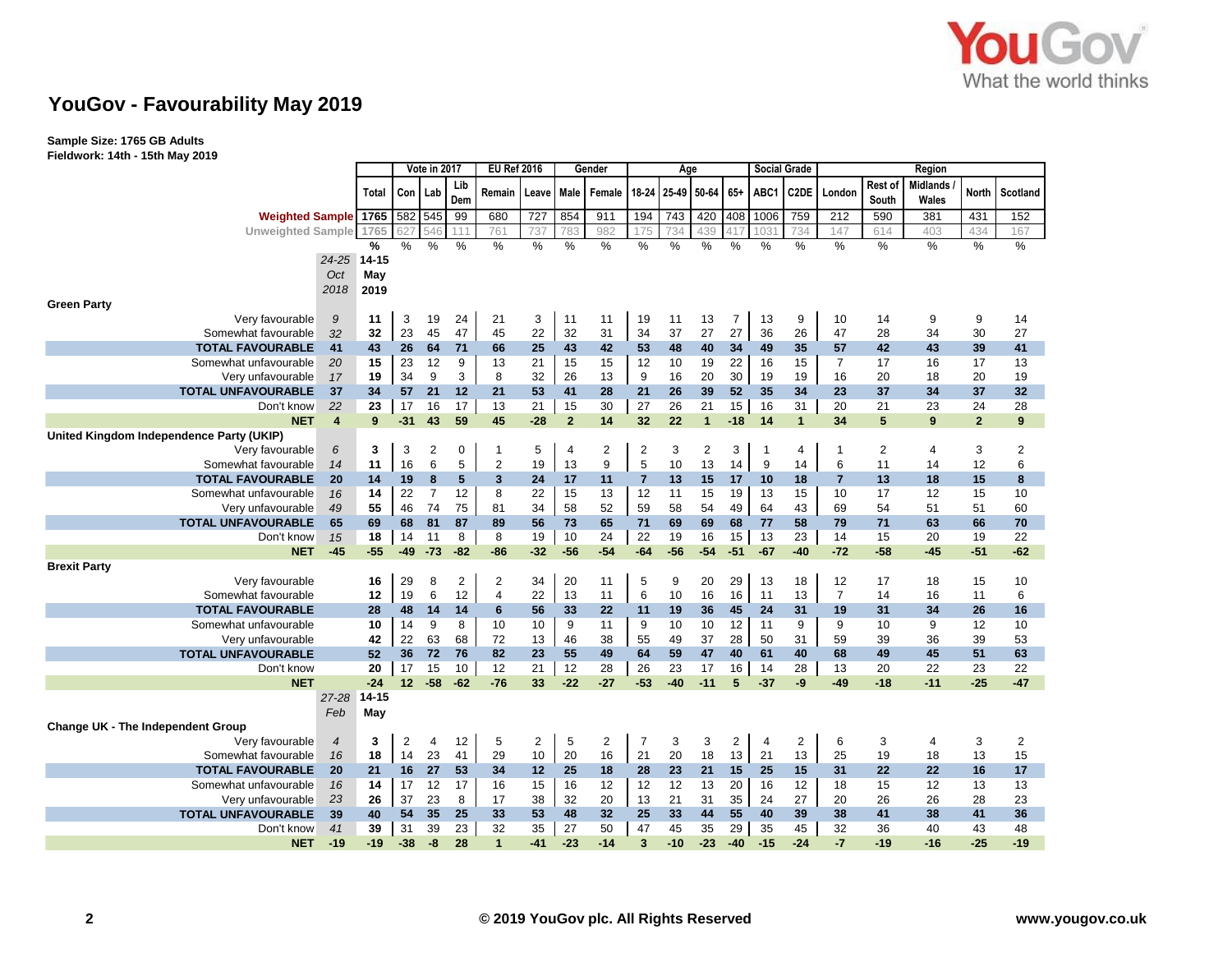

**Sample Size: 1765 GB Adults Fieldwork: 14th - 15th May 2019**

|                                          |                |           | Vote in 2017   |                  |                | <b>EU Ref 2016</b> |       | Gender         |                | Age            |       |                         |                | <b>Social Grade</b> |                   |                | Region           |                          |                |                  |
|------------------------------------------|----------------|-----------|----------------|------------------|----------------|--------------------|-------|----------------|----------------|----------------|-------|-------------------------|----------------|---------------------|-------------------|----------------|------------------|--------------------------|----------------|------------------|
|                                          |                | Total     |                | Con   Lab        | Lib<br>Dem     | Remain             | Leave |                | Male Female    | 18-24          |       | 25-49 50-64 65+         |                | ABC1                | C <sub>2</sub> DE | London         | Rest of<br>South | <b>Midlands</b><br>Wales | North          | Scotland         |
| <b>Weighted Sample</b>                   |                | 1765      | 582 545        |                  | 99             | 680                | 727   | 854            | 911            | 194            | 743   | 420                     | 408            | 1006                | 759               | 212            | 590              | 381                      | 431            | 152              |
| <b>Unweighted Sample</b>                 |                | 1765      |                | 546              | 111            | 761                | 737   | 783            | 982            | 175            | 734   | 439                     |                | 1031                | 734               | 147            | 614              | 403                      | 434            | 167              |
|                                          |                | %         | %              | %                | %              | $\%$               | %     | %              | $\%$           | %              | $\%$  | %                       | %              | $\frac{0}{0}$       | $\%$              | %              | $\frac{0}{0}$    | $\%$                     | $\%$           | $\%$             |
|                                          | $24 - 25$      | $14 - 15$ |                |                  |                |                    |       |                |                |                |       |                         |                |                     |                   |                |                  |                          |                |                  |
|                                          | Oct            | May       |                |                  |                |                    |       |                |                |                |       |                         |                |                     |                   |                |                  |                          |                |                  |
|                                          | 2018           | 2019      |                |                  |                |                    |       |                |                |                |       |                         |                |                     |                   |                |                  |                          |                |                  |
| <b>Green Party</b>                       |                |           |                |                  |                |                    |       |                |                |                |       |                         |                |                     |                   |                |                  |                          |                |                  |
| Very favourable                          | 9              | 11        | 3              | 19               | 24             | 21                 | 3     | 11             | 11             | 19             | 11    | 13                      | 7              | 13                  | 9                 | 10             | 14               | 9                        | 9              | 14               |
| Somewhat favourable                      | 32             | 32        | 23             | 45               | 47             | 45                 | 22    | 32             | 31             | 34             | 37    | 27                      | 27             | 36                  | 26                | 47             | 28               | 34                       | 30             | 27               |
| <b>TOTAL FAVOURABLE</b>                  | 41             | 43        | 26             | 64               | 71             | 66                 | 25    | 43             | 42             | 53             | 48    | 40                      | 34             | 49                  | 35                | 57             | 42               | 43                       | 39             | 41               |
| Somewhat unfavourable                    | 20             | 15        | 23             | 12               | 9              | 13                 | 21    | 15             | 15             | 12             | 10    | 19                      | 22             | 16                  | 15                | $\overline{7}$ | 17               | 16                       | 17             | 13               |
| Very unfavourable                        | 17             | 19        | 34             | 9                | 3              | 8                  | 32    | 26             | 13             | 9              | 16    | 20                      | 30             | 19                  | 19                | 16             | 20               | 18                       | 20             | 19               |
| <b>TOTAL UNFAVOURABLE</b>                | 37             | 34        | 57             | 21               | 12             | 21                 | 53    | 41             | 28             | 21             | 26    | 39                      | 52             | 35                  | 34                | 23             | 37               | 34                       | 37             | 32               |
| Don't know                               | 22             | 23        | 17             | 16               | 17             | 13                 | 21    | 15             | 30             | 27             | 26    | 21                      | 15             | 16                  | 31                | 20             | 21               | 23                       | 24             | 28               |
| <b>NET</b>                               | $\overline{4}$ | 9         | $-31$          | 43               | 59             | 45                 | $-28$ | $\overline{2}$ | 14             | 32             | 22    | $\overline{1}$          | $-18$          | 14                  | $\mathbf{1}$      | 34             | 5                | 9                        | $\overline{2}$ | $\boldsymbol{9}$ |
| United Kingdom Independence Party (UKIP) |                |           |                |                  |                |                    |       |                |                |                |       |                         |                |                     |                   |                |                  |                          |                |                  |
| Very favourable                          | 6              | 3         | 3              | $\boldsymbol{2}$ | 0              | 1                  | 5     | $\overline{4}$ | $\overline{2}$ | $\overline{c}$ | 3     | $\overline{\mathbf{c}}$ | 3              | 1                   | 4                 | 1              | 2                | 4                        | 3              | $\boldsymbol{2}$ |
| Somewhat favourable                      | 14             | 11        | 16             | 6                | 5              | $\overline{2}$     | 19    | 13             | 9              | 5              | 10    | 13                      | 14             | 9                   | 14                | 6              | 11               | 14                       | 12             | 6                |
| <b>TOTAL FAVOURABLE</b>                  | 20             | 14        | 19             | 8                | 5              | 3                  | 24    | 17             | 11             | 7              | 13    | 15                      | 17             | 10                  | 18                | 7              | 13               | 18                       | 15             | 8                |
| Somewhat unfavourable                    | 16             | 14        | 22             | $\overline{7}$   | 12             | 8                  | 22    | 15             | 13             | 12             | 11    | 15                      | 19             | 13                  | 15                | 10             | 17               | 12                       | 15             | 10               |
| Very unfavourable                        | 49             | 55        | 46             | 74               | 75             | 81                 | 34    | 58             | 52             | 59             | 58    | 54                      | 49             | 64                  | 43                | 69             | 54               | 51                       | 51             | 60               |
| <b>TOTAL UNFAVOURABLE</b>                | 65             | 69        | 68             | 81               | 87             | 89                 | 56    | 73             | 65             | 71             | 69    | 69                      | 68             | 77                  | 58                | 79             | 71               | 63                       | 66             | 70               |
| Don't know                               | 15             | 18        | 14             | 11               | 8              | 8                  | 19    | 10             | 24             | 22             | 19    | 16                      | 15             | 13                  | 23                | 14             | 15               | 20                       | 19             | 22               |
| <b>NET</b>                               | $-45$          | $-55$     | -49            | $-73$            | $-82$          | $-86$              | $-32$ | $-56$          | $-54$          | $-64$          | $-56$ | $-54$                   | $-51$          | $-67$               | $-40$             | $-72$          | $-58$            | $-45$                    | $-51$          | $-62$            |
| <b>Brexit Party</b>                      |                |           |                |                  |                |                    |       |                |                |                |       |                         |                |                     |                   |                |                  |                          |                |                  |
| Very favourable                          |                | 16        | 29             | 8                | $\overline{2}$ | $\overline{c}$     | 34    | 20             | 11             | 5              | 9     | 20                      | 29             | 13                  | 18                | 12             | 17               | 18                       | 15             | 10               |
| Somewhat favourable                      |                | 12        | 19             | 6                | 12             | $\overline{4}$     | 22    | 13             | 11             | 6              | 10    | 16                      | 16             | 11                  | 13                | $\overline{7}$ | 14               | 16                       | 11             | 6                |
| <b>TOTAL FAVOURABLE</b>                  |                | 28        | 48             | 14               | 14             | 6                  | 56    | 33             | 22             | 11             | 19    | 36                      | 45             | 24                  | 31                | 19             | 31               | 34                       | 26             | 16               |
| Somewhat unfavourable                    |                | 10        | 14             | 9                | 8              | 10                 | 10    | 9              | 11             | 9              | 10    | 10                      | 12             | 11                  | 9                 | 9              | 10               | 9                        | 12             | 10               |
| Very unfavourable                        |                | 42        | 22             | 63               | 68             | 72                 | 13    | 46             | 38             | 55             | 49    | 37                      | 28             | 50                  | 31                | 59             | 39               | 36                       | 39             | 53               |
| <b>TOTAL UNFAVOURABLE</b>                |                | 52        | 36             | 72               | 76             | 82                 | 23    | 55             | 49             | 64             | 59    | 47                      | 40             | 61                  | 40                | 68             | 49               | 45                       | 51             | 63               |
| Don't know                               |                | 20        | 17             | 15               | 10             | 12                 | 21    | 12             | 28             | 26             | 23    | 17                      | 16             | 14                  | 28                | 13             | 20               | 22                       | 23             | 22               |
| <b>NET</b>                               |                | $-24$     | 12             | $-58$            | $-62$          | $-76$              | 33    | $-22$          | $-27$          | $-53$          | $-40$ | $-11$                   | 5              | $-37$               | -9                | $-49$          | $-18$            | $-11$                    | $-25$          | $-47$            |
|                                          | 27-28          | $14 - 15$ |                |                  |                |                    |       |                |                |                |       |                         |                |                     |                   |                |                  |                          |                |                  |
|                                          | Feb            | May       |                |                  |                |                    |       |                |                |                |       |                         |                |                     |                   |                |                  |                          |                |                  |
| <b>Change UK - The Independent Group</b> |                |           |                |                  |                |                    |       |                |                |                |       |                         |                |                     |                   |                |                  |                          |                |                  |
| Very favourable                          | $\overline{4}$ | 3         | $\overline{2}$ | $\overline{4}$   | 12             | 5                  | 2     | 5              | 2              | $\overline{7}$ | 3     | 3                       | $\overline{2}$ | $\overline{4}$      | $\overline{2}$    | 6              | 3                | 4                        | 3              | $\overline{2}$   |
| Somewhat favourable                      | 16             | 18        | 14             | 23               | 41             | 29                 | 10    | 20             | 16             | 21             | 20    | 18                      | 13             | 21                  | 13                | 25             | 19               | 18                       | 13             | 15               |
| <b>TOTAL FAVOURABLE</b>                  | 20             | 21        | 16             | 27               | 53             | 34                 | 12    | 25             | 18             | 28             | 23    | 21                      | 15             | 25                  | 15                | 31             | 22               | 22                       | 16             | 17               |
| Somewhat unfavourable                    | 16             | 14        | 17             | 12               | 17             | 16                 | 15    | 16             | 12             | 12             | 12    | 13                      | 20             | 16                  | 12                | 18             | 15               | 12                       | 13             | 13               |
| Very unfavourable                        | 23             | 26        | 37             | 23               | 8              | 17                 | 38    | 32             | 20             | 13             | 21    | 31                      | 35             | 24                  | 27                | 20             | 26               | 26                       | 28             | 23               |
| <b>TOTAL UNFAVOURABLE</b>                | 39             | 40        | 54             | 35               | 25             | 33                 | 53    | 48             | 32             | 25             | 33    | 44                      | 55             | 40                  | 39                | 38             | 41               | 38                       | 41             | 36               |
| Don't know                               | 41             | 39        | 31             | 39               | 23             | 32                 | 35    | 27             | 50             | 47             | 45    | 35                      | 29             | 35                  | 45                | 32             | 36               | 40                       | 43             | 48               |
| <b>NET</b>                               | $-19$          | $-19$     | $-38$          | -8               | 28             | 1                  | $-41$ | $-23$          | $-14$          | 3              | -10   | $-23$                   | $-40$          | $-15$               | $-24$             | $-7$           | $-19$            | $-16$                    | $-25$          | -19              |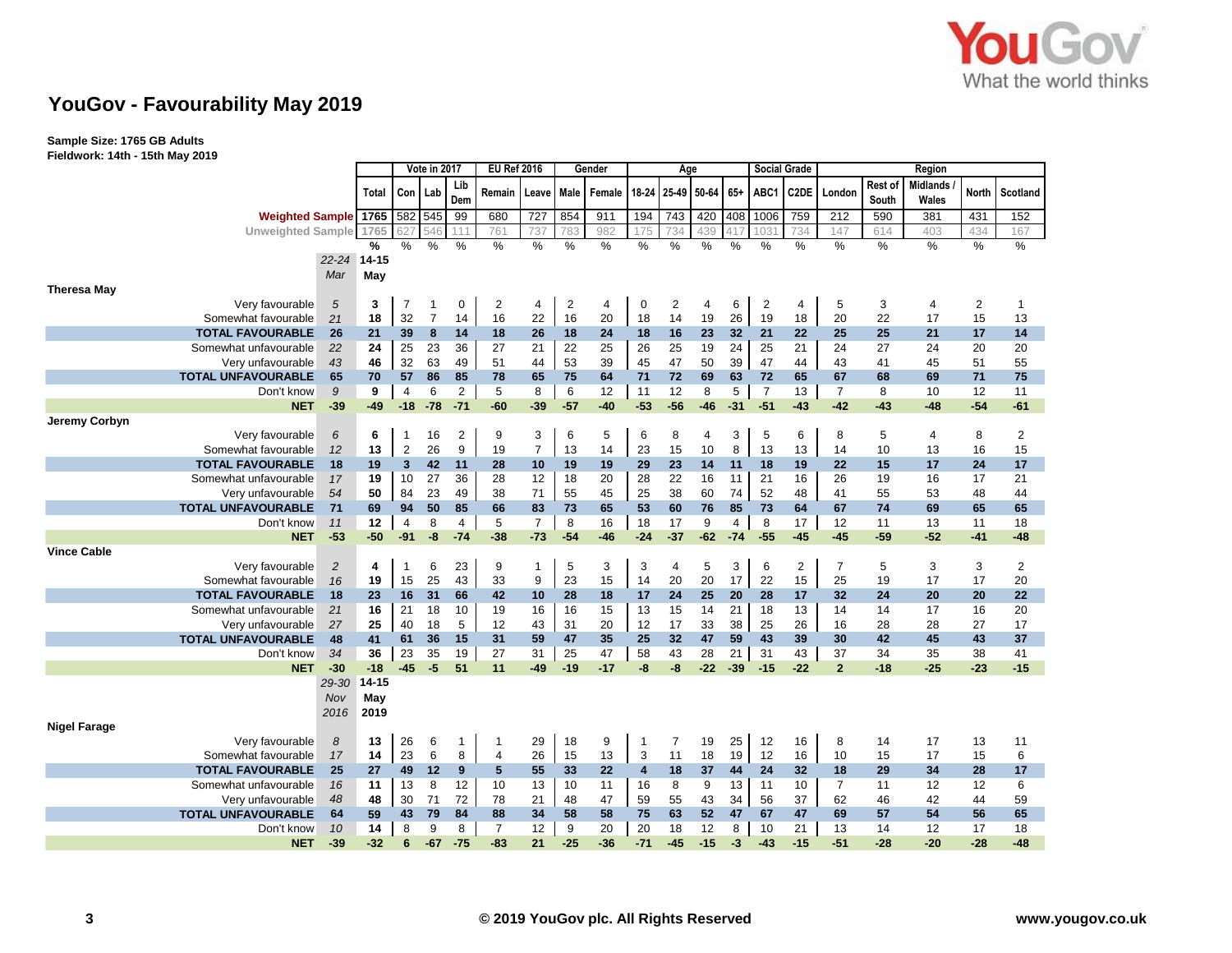

**Sample Size: 1765 GB Adults Fieldwork: 14th - 15th May 2019**

|                                       |                          | Vote in 2017 |                         |                | <b>EU Ref 2016</b><br>Gender |                |                |                |                | Age                     |       |             | <b>Social Grade</b> |                | Region         |                |                  |                   |       |                |
|---------------------------------------|--------------------------|--------------|-------------------------|----------------|------------------------------|----------------|----------------|----------------|----------------|-------------------------|-------|-------------|---------------------|----------------|----------------|----------------|------------------|-------------------|-------|----------------|
|                                       |                          | Total        | Con   Lab               |                | Lib<br>Dem                   | Remain         | Leave Male     |                | Female         | 18-24                   |       | 25-49 50-64 | $65+$               | ABC1           | C2DE           | London         | Rest of<br>South | Midlands<br>Wales | North | Scotland       |
|                                       | <b>Weighted Sample</b>   | 1765         | 582 545                 |                | 99                           | 680            | 727            | 854            | 911            | 194                     | 743   | 420         | 408                 | 1006           | 759            | 212            | 590              | 381               | 431   | 152            |
|                                       | <b>Unweighted Sample</b> |              | 627                     | 546            |                              | 761            | 737            | 783            | 982            | 175                     | 734   | 439         | 417                 | 103'           | 734            | 147            | 614              | 403               | 434   | 167            |
|                                       |                          | %            | %                       | %              | %                            | %              | %              | %              | %              | %                       | %     | $\%$        | %                   | %              | %              | %              | %                | %                 | %     | %              |
|                                       | $22 - 24$                | $14 - 15$    |                         |                |                              |                |                |                |                |                         |       |             |                     |                |                |                |                  |                   |       |                |
|                                       | Mar                      | May          |                         |                |                              |                |                |                |                |                         |       |             |                     |                |                |                |                  |                   |       |                |
| <b>Theresa May</b>                    |                          |              |                         |                |                              |                |                |                |                |                         |       |             |                     |                |                |                |                  |                   |       |                |
| Very favourable                       | 5                        | 3            | $\overline{7}$          | -1             | 0                            | $\overline{2}$ | 4              | $\overline{c}$ | $\overline{4}$ | 0                       | 2     | 4           | 6                   | $\overline{2}$ | 4              | 5              | 3                | $\overline{4}$    | 2     | -1             |
| Somewhat favourable                   | 21                       | 18           | 32                      | $\overline{7}$ | 14                           | 16             | 22             | 16             | 20             | 18                      | 14    | 19          | 26                  | 19             | 18             | 20             | 22               | 17                | 15    | 13             |
| <b>TOTAL FAVOURABLE</b>               | 26                       | 21           | 39                      | 8              | 14                           | 18             | 26             | 18             | 24             | 18                      | 16    | 23          | 32                  | 21             | 22             | 25             | 25               | 21                | 17    | 14             |
| Somewhat unfavourable                 | 22                       | 24           | 25                      | 23             | 36                           | 27             | 21             | 22             | 25             | 26                      | 25    | 19          | 24                  | 25             | 21             | 24             | 27               | 24                | 20    | 20             |
| Very unfavourable                     | 43                       | 46           | 32                      | 63             | 49                           | 51             | 44             | 53             | 39             | 45                      | 47    | 50          | 39                  | 47             | 44             | 43             | 41               | 45                | 51    | 55             |
| <b>TOTAL UNFAVOURABLE</b>             | 65                       | 70           | 57                      | 86             | 85                           | 78             | 65             | 75             | 64             | 71                      | 72    | 69          | 63                  | 72             | 65             | 67             | 68               | 69                | 71    | 75             |
| Don't know                            | 9                        | 9            | $\overline{4}$          | 6              | $\overline{2}$               | 5              | 8              | 6              | 12             | 11                      | 12    | 8           | 5                   | $\overline{7}$ | 13             | $\overline{7}$ | 8                | 10                | 12    | 11             |
| <b>NET</b>                            | $-39$                    | $-49$        | $-18$                   | $-78$          | $-71$                        | $-60$          | $-39$          | $-57$          | $-40$          | $-53$                   | $-56$ | $-46$       | $-31$               | $-51$          | $-43$          | $-42$          | $-43$            | $-48$             | $-54$ | $-61$          |
| Jeremy Corbyn                         |                          |              |                         |                |                              |                |                |                |                |                         |       |             |                     |                |                |                |                  |                   |       |                |
| Very favourable                       | 6                        | 6            | 1                       | 16             | 2                            | 9              | 3              | 6              | 5              | 6                       | 8     | 4           | 3                   | 5              | 6              | 8              | 5                | $\overline{4}$    | 8     | 2              |
| Somewhat favourable                   | 12                       | 13           | $\overline{2}$          | 26             | 9                            | 19             | $\overline{7}$ | 13             | 14             | 23                      | 15    | 10          | 8                   | 13             | 13             | 14             | 10               | 13                | 16    | 15             |
| <b>TOTAL FAVOURABLE</b>               | 18                       | 19           | $\overline{\mathbf{3}}$ | 42             | 11                           | 28             | 10             | 19             | 19             | 29                      | 23    | 14          | 11                  | 18             | 19             | 22             | 15               | 17                | 24    | 17             |
| Somewhat unfavourable                 | 17                       | 19           | 10                      | 27             | 36                           | 28             | 12             | 18             | 20             | 28                      | 22    | 16          | 11                  | 21             | 16             | 26             | 19               | 16                | 17    | 21             |
| Very unfavourable                     | 54                       | 50           | 84                      | 23             | 49                           | 38             | 71             | 55             | 45             | 25                      | 38    | 60          | 74                  | 52             | 48             | 41             | 55               | 53                | 48    | 44             |
| <b>TOTAL UNFAVOURABLE</b>             | 71                       | 69           | 94                      | 50             | 85                           | 66             | 83             | 73             | 65             | 53                      | 60    | 76          | 85                  | 73             | 64             | 67             | 74               | 69                | 65    | 65             |
| Don't know                            | 11                       | 12           | $\overline{4}$          | 8              | $\overline{4}$               | 5              | $\overline{7}$ | 8              | 16             | 18                      | 17    | 9           | $\overline{4}$      | 8              | 17             | 12             | 11               | 13                | 11    | 18             |
| <b>NET</b>                            | $-53$                    | $-50$        | $-91$                   | -8             | $-74$                        | $-38$          | $-73$          | $-54$          | $-46$          | $-24$                   | $-37$ | $-62$       | $-74$               | $-55$          | $-45$          | $-45$          | $-59$            | $-52$             | $-41$ | $-48$          |
| <b>Vince Cable</b><br>Very favourable |                          | 4            | 1                       | 6              | 23                           | 9              | $\mathbf{1}$   | 5              | 3              | 3                       | 4     | 5           | 3                   | 6              | $\overline{2}$ | $\overline{7}$ | 5                | 3                 | 3     | $\overline{2}$ |
| Somewhat favourable                   | $\overline{2}$<br>16     | 19           | 15                      | 25             | 43                           | 33             | 9              | 23             | 15             | 14                      | 20    | 20          | 17                  | 22             | 15             | 25             | 19               | 17                | 17    | 20             |
| <b>TOTAL FAVOURABLE</b>               | 18                       | 23           | 16                      | 31             | 66                           | 42             | 10             | 28             | 18             | 17                      | 24    | 25          | 20                  | 28             | 17             | 32             | 24               | 20                | 20    | 22             |
| Somewhat unfavourable                 | 21                       | 16           | 21                      | 18             | 10                           | 19             | 16             | 16             | 15             | 13                      | 15    | 14          | 21                  | 18             | 13             | 14             | 14               | 17                | 16    | 20             |
| Very unfavourable                     | 27                       | 25           | 40                      | 18             | 5                            | 12             | 43             | 31             | 20             | 12                      | 17    | 33          | 38                  | 25             | 26             | 16             | 28               | 28                | 27    | 17             |
| <b>TOTAL UNFAVOURABLE</b>             | 48                       | 41           | 61                      | 36             | 15                           | 31             | 59             | 47             | 35             | 25                      | 32    | 47          | 59                  | 43             | 39             | 30             | 42               | 45                | 43    | 37             |
| Don't know                            | 34                       | 36           | 23                      | 35             | 19                           | 27             | 31             | 25             | 47             | 58                      | 43    | 28          | 21                  | 31             | 43             | 37             | 34               | 35                | 38    | 41             |
| <b>NET</b>                            | $-30$                    | $-18$        | $-45$                   | $-5$           | 51                           | 11             | $-49$          | $-19$          | $-17$          | -8                      | -8    | $-22$       | $-39$               | $-15$          | $-22$          | $\overline{2}$ | $-18$            | $-25$             | $-23$ | $-15$          |
|                                       | 29-30                    | $14 - 15$    |                         |                |                              |                |                |                |                |                         |       |             |                     |                |                |                |                  |                   |       |                |
|                                       | Nov                      | May          |                         |                |                              |                |                |                |                |                         |       |             |                     |                |                |                |                  |                   |       |                |
|                                       | 2016                     | 2019         |                         |                |                              |                |                |                |                |                         |       |             |                     |                |                |                |                  |                   |       |                |
| <b>Nigel Farage</b>                   |                          |              |                         |                |                              |                |                |                |                |                         |       |             |                     |                |                |                |                  |                   |       |                |
| Very favourable                       | 8                        | 13           | 26                      | 6              | $\mathbf 1$                  | -1             | 29             | 18             | 9              | 1                       | 7     | 19          | 25                  | 12             | 16             | 8              | 14               | 17                | 13    | 11             |
| Somewhat favourable                   | 17                       | 14           | 23                      | 6              | 8                            | $\overline{4}$ | 26             | 15             | 13             | 3                       | 11    | 18          | 19                  | 12             | 16             | 10             | 15               | 17                | 15    | 6              |
| <b>TOTAL FAVOURABLE</b>               | 25                       | 27           | 49                      | 12             | 9                            | 5              | 55             | 33             | 22             | $\overline{\mathbf{4}}$ | 18    | 37          | 44                  | 24             | 32             | 18             | 29               | 34                | 28    | 17             |
| Somewhat unfavourable                 | 16                       | 11           | 13                      | 8              | 12                           | 10             | 13             | 10             | 11             | 16                      | 8     | 9           | 13                  | 11             | 10             | $\overline{7}$ | 11               | 12                | 12    | 6              |
| Very unfavourable                     | 48                       | 48           | 30                      | 71             | 72                           | 78             | 21             | 48             | 47             | 59                      | 55    | 43          | 34                  | 56             | 37             | 62             | 46               | 42                | 44    | 59             |
| <b>TOTAL UNFAVOURABLE</b>             | 64                       | 59           | 43                      | 79             | 84                           | 88             | 34             | 58             | 58             | 75                      | 63    | 52          | 47                  | 67             | 47             | 69             | 57               | 54                | 56    | 65             |
| Don't know                            | 10                       | 14           | 8                       | 9              | 8                            | $\overline{7}$ | 12             | 9              | 20             | 20                      | 18    | 12          | 8                   | 10             | 21             | 13             | 14               | 12                | 17    | 18             |
| <b>NET</b>                            | $-39$                    | $-32$        | 6                       | $-67$          | $-75$                        | $-83$          | 21             | $-25$          | $-36$          | $-71$                   | $-45$ | $-15$       | $-3$                | $-43$          | $-15$          | $-51$          | $-28$            | $-20$             | $-28$ | $-48$          |